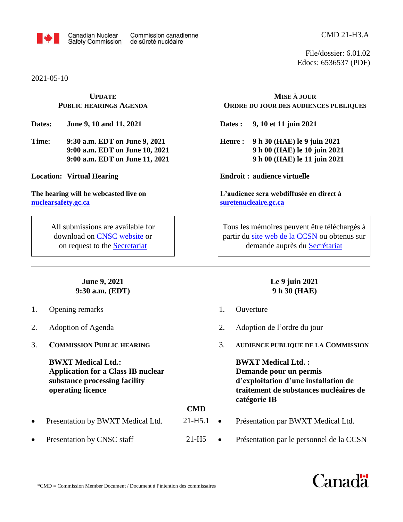

2021-05-10

## **UPDATE PUBLIC HEARINGS AGENDA**

**Dates: June 9, 10 and 11, 2021**

**Time: 9:30 a.m. EDT on June 9, 2021 9:00 a.m. EDT on June 10, 2021 9:00 a.m. EDT on June 11, 2021**

**Location: Virtual Hearing**

**The hearing will be webcasted live on [nuclearsafety.gc.ca](http://www.nuclearsafety.gc.ca/)**

> All submissions are available for download on [CNSC website](http://www.nuclearsafety.gc.ca/eng/the-commission/hearings/cmd/index.cfm) or on request to the [Secretariat](mailto:cnsc.interventions.ccsn@canada.ca)

> > **June 9, 2021 9:30 a.m. (EDT)**

- 1. Opening remarks
- 2. Adoption of Agenda
- 3. **COMMISSION PUBLIC HEARING**

**BWXT Medical Ltd.: Application for a Class IB nuclear substance processing facility operating licence**

**CMD**

21-H5

- Presentation by BWXT Medical Ltd.
- Presentation by CNSC staff

CMD 21-H3.A

File/dossier: 6.01.02 Edocs: 6536537 (PDF)

## **MISE À JOUR ORDRE DU JOUR DES AUDIENCES PUBLIQUES**

**Dates : 9, 10 et 11 juin 2021**

**Heure : 9 h 30 (HAE) le 9 juin 2021 9 h 00 (HAE) le 10 juin 2021 9 h 00 (HAE) le 11 juin 2021**

**Endroit : audience virtuelle**

**L'audience sera webdiffusée en direct à [suretenucleaire.gc.ca](http://www.suretenucleaire.gc.ca/)**

Tous les mémoires peuvent être téléchargés à partir du site web de [la CCSN](http://www.nuclearsafety.gc.ca/fra/the-commission/hearings/cmd/index.cfm) ou obtenus sur demande auprès du [Secrétariat](mailto:cnsc.interventions.ccsn@canada.ca)

## **Le 9 juin 2021 9 h 30 (HAE)**

- 1. Ouverture
- 2. Adoption de l'ordre du jour
- 3. **AUDIENCE PUBLIQUE DE LA COMMISSION**

**BWXT Medical Ltd. : Demande pour un permis d'exploitation d'une installation de traitement de substances nucléaires de catégorie IB**

- Présentation par BWXT Medical Ltd.  $21-H5.1$   $\bullet$ 
	- Présentation par le personnel de la CCSN

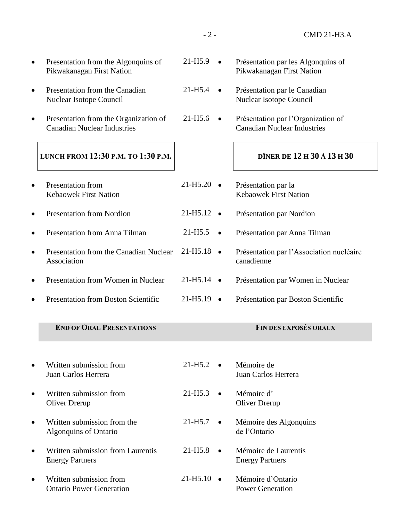| Presentation from the Algonquins of<br>Pikwakanagan First Nation            | $21 - H5.9$          |           | Présentation par les Algonquins of<br>Pikwakanagan First Nation          |
|-----------------------------------------------------------------------------|----------------------|-----------|--------------------------------------------------------------------------|
| Presentation from the Canadian<br>Nuclear Isotope Council                   | 21-H5.4              |           | Présentation par le Canadian<br>Nuclear Isotope Council                  |
| Presentation from the Organization of<br><b>Canadian Nuclear Industries</b> | 21-H <sub>5.6</sub>  | $\bullet$ | Présentation par l'Organization of<br><b>Canadian Nuclear Industries</b> |
| LUNCH FROM 12:30 P.M. TO 1:30 P.M.                                          |                      |           | DÎNER DE 12 H 30 À 13 H 30                                               |
| <b>Presentation from</b><br><b>Kebaowek First Nation</b>                    | $21 - H5.20$         |           | Présentation par la<br><b>Kebaowek First Nation</b>                      |
| <b>Presentation from Nordion</b>                                            | 21-H <sub>5.12</sub> |           | Présentation par Nordion                                                 |
| Presentation from Anna Tilman                                               | $21 - H5.5$          | $\bullet$ | Présentation par Anna Tilman                                             |
| Presentation from the Canadian Nuclear<br>Association                       | 21-H <sub>5.18</sub> |           | Présentation par l'Association nucléaire<br>canadienne                   |
| Presentation from Women in Nuclear                                          | 21-H <sub>5.14</sub> | $\bullet$ | Présentation par Women in Nuclear                                        |
| <b>Presentation from Boston Scientific</b>                                  | 21-H <sub>5.19</sub> |           | Présentation par Boston Scientific                                       |
| <b>END OF ORAL PRESENTATIONS</b>                                            |                      |           | FIN DES EXPOSÉS ORAUX                                                    |
| Written submission from<br>Juan Carlos Herrera                              | $21 - H5.2$          |           | Mémoire de<br>Juan Carlos Herrera                                        |
| Written submission from<br>Oliver Drerup                                    | $21 - H5.3$          |           | Mémoire d'<br><b>Oliver Drerup</b>                                       |
| Written submission from the<br><b>Algonquins of Ontario</b>                 | $21 - H5.7$          |           | Mémoire des Algonquins<br>de l'Ontario                                   |
| Written submission from Laurentis<br><b>Energy Partners</b>                 | $21 - H5.8$          | $\bullet$ | Mémoire de Laurentis<br><b>Energy Partners</b>                           |
| Written submission from<br><b>Ontario Power Generation</b>                  | $21-H5.10$ $\bullet$ |           | Mémoire d'Ontario<br><b>Power Generation</b>                             |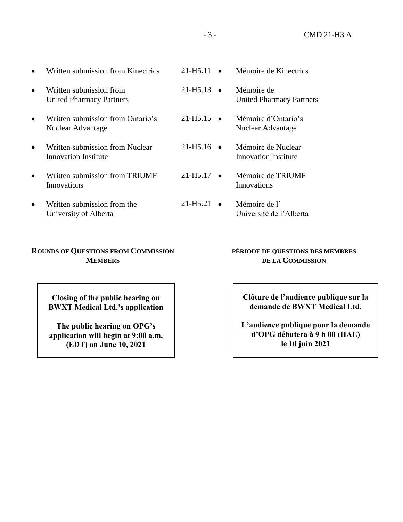| $\bullet$ | Written submission from Kinectrics                         | $21 - H5.11$ $\bullet$ | Mémoire de Kinectrics                         |
|-----------|------------------------------------------------------------|------------------------|-----------------------------------------------|
| $\bullet$ | Written submission from<br><b>United Pharmacy Partners</b> | $21 - H5.13$ $\bullet$ | Mémoire de<br><b>United Pharmacy Partners</b> |
| $\bullet$ | Written submission from Ontario's<br>Nuclear Advantage     | $21 - H5.15$ $\bullet$ | Mémoire d'Ontario's<br>Nuclear Advantage      |

- Written submission from Nuclear Innovation Institute
- Written submission from TRIUMF Innovations
- Written submission from the University of Alberta

## **ROUNDS OF QUESTIONS FROM COMMISSION MEMBERS**

**Closing of the public hearing on BWXT Medical Ltd.'s application**

**The public hearing on OPG's application will begin at 9:00 a.m. (EDT) on June 10, 2021**

**Clôture de l'audience publique sur la demande de BWXT Medical Ltd.**

**PÉRIODE DE QUESTIONS DES MEMBRES DE LA COMMISSION**

 Mémoire de Nuclear Innovation Institute

Mémoire de TRIUMF

Université de l'Alberta

Innovations

Mémoire de l'

**L'audience publique pour la demande d'OPG débutera à 9 h 00 (HAE) le 10 juin 2021**

 $21 - H5.16$   $\bullet$ 

 $21-H5.17$   $\bullet$ 

 $21-H5.21$   $\bullet$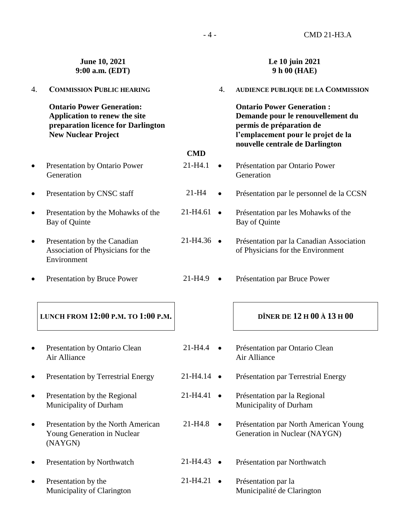|           | June 10, 2021<br>9:00 a.m. (EDT)                                                                                                      |                      |           | Le 10 juin 2021<br>9 h 00 (HAE)                                                                                                                                            |
|-----------|---------------------------------------------------------------------------------------------------------------------------------------|----------------------|-----------|----------------------------------------------------------------------------------------------------------------------------------------------------------------------------|
| 4.        | <b>COMMISSION PUBLIC HEARING</b>                                                                                                      |                      | 4.        | AUDIENCE PUBLIQUE DE LA COMMISSION                                                                                                                                         |
|           | <b>Ontario Power Generation:</b><br>Application to renew the site<br>preparation licence for Darlington<br><b>New Nuclear Project</b> |                      |           | <b>Ontario Power Generation:</b><br>Demande pour le renouvellement du<br>permis de préparation de<br>l'emplacement pour le projet de la<br>nouvelle centrale de Darlington |
|           |                                                                                                                                       | <b>CMD</b>           |           |                                                                                                                                                                            |
| $\bullet$ | Presentation by Ontario Power<br>Generation                                                                                           | $21 - H4.1$          |           | Présentation par Ontario Power<br>Generation                                                                                                                               |
| $\bullet$ | Presentation by CNSC staff                                                                                                            | $21-H4$              |           | Présentation par le personnel de la CCSN                                                                                                                                   |
| $\bullet$ | Presentation by the Mohawks of the<br>Bay of Quinte                                                                                   | 21-H4.61             | $\bullet$ | Présentation par les Mohawks of the<br>Bay of Quinte                                                                                                                       |
| $\bullet$ | Presentation by the Canadian<br>Association of Physicians for the<br>Environment                                                      | 21-H4.36             | $\bullet$ | Présentation par la Canadian Association<br>of Physicians for the Environment                                                                                              |
|           | Presentation by Bruce Power                                                                                                           | 21-H4.9              | $\bullet$ | Présentation par Bruce Power                                                                                                                                               |
|           | LUNCH FROM 12:00 P.M. TO 1:00 P.M.                                                                                                    |                      |           | DÎNER DE 12 H 00 À 13 H 00                                                                                                                                                 |
|           | <b>Presentation by Ontario Clean</b><br>Air Alliance                                                                                  | 21-H4.4              |           | Présentation par Ontario Clean<br>Air Alliance                                                                                                                             |
|           | <b>Presentation by Terrestrial Energy</b>                                                                                             | $21-H4.14$ $\bullet$ |           | Présentation par Terrestrial Energy                                                                                                                                        |
| 0         | Presentation by the Regional<br>Municipality of Durham                                                                                | 21-H4.41             | $\bullet$ | Présentation par la Regional<br>Municipality of Durham                                                                                                                     |
| $\bullet$ | Presentation by the North American<br>Young Generation in Nuclear<br>(NAYGN)                                                          | $21 - H4.8$          | $\bullet$ | Présentation par North American Young<br>Generation in Nuclear (NAYGN)                                                                                                     |
| $\bullet$ | Presentation by Northwatch                                                                                                            | 21-H4.43             | $\bullet$ | Présentation par Northwatch                                                                                                                                                |
| $\bullet$ | Presentation by the<br>Municipality of Clarington                                                                                     | 21-H4.21             | $\bullet$ | Présentation par la<br>Municipalité de Clarington                                                                                                                          |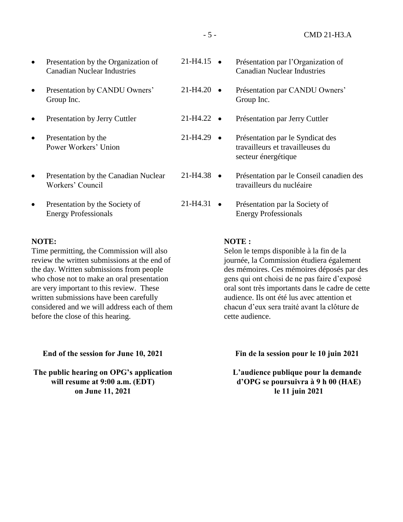| $\bullet$ | Presentation by the Organization of<br><b>Canadian Nuclear Industries</b> | $21 - H4.15$          | Présentation par l'Organization of<br><b>Canadian Nuclear Industries</b>                    |
|-----------|---------------------------------------------------------------------------|-----------------------|---------------------------------------------------------------------------------------------|
| $\bullet$ | Presentation by CANDU Owners'<br>Group Inc.                               | $21-H4.20$ $\bullet$  | Présentation par CANDU Owners'<br>Group Inc.                                                |
| $\bullet$ | <b>Presentation by Jerry Cuttler</b>                                      | $21-H4.22$ $\bullet$  | Présentation par Jerry Cuttler                                                              |
| $\bullet$ | Presentation by the<br>Power Workers' Union                               | $21-H4.29$ $\bullet$  | Présentation par le Syndicat des<br>travailleurs et travailleuses du<br>secteur énergétique |
| $\bullet$ | Presentation by the Canadian Nuclear<br>Workers' Council                  | $21-H4.38$ $\bullet$  | Présentation par le Conseil canadien des<br>travailleurs du nucléaire                       |
| $\bullet$ | Presentation by the Society of<br><b>Energy Professionals</b>             | 21-H4.31<br>$\bullet$ | Présentation par la Society of<br><b>Energy Professionals</b>                               |
|           |                                                                           |                       |                                                                                             |

#### **NOTE:**

Time permitting, the Commission will also review the written submissions at the end of the day. Written submissions from people who chose not to make an oral presentation are very important to this review. These written submissions have been carefully considered and we will address each of them before the close of this hearing.

**End of the session for June 10, 2021**

**The public hearing on OPG's application will resume at 9:00 a.m. (EDT) on June 11, 2021**

#### **NOTE :**

Selon le temps disponible à la fin de la journée, la Commission étudiera également des mémoires. Ces mémoires déposés par des gens qui ont choisi de ne pas faire d'exposé oral sont très importants dans le cadre de cette audience. Ils ont été lus avec attention et chacun d'eux sera traité avant la clôture de cette audience.

**Fin de la session pour le 10 juin 2021**

**L'audience publique pour la demande d'OPG se poursuivra à 9 h 00 (HAE) le 11 juin 2021**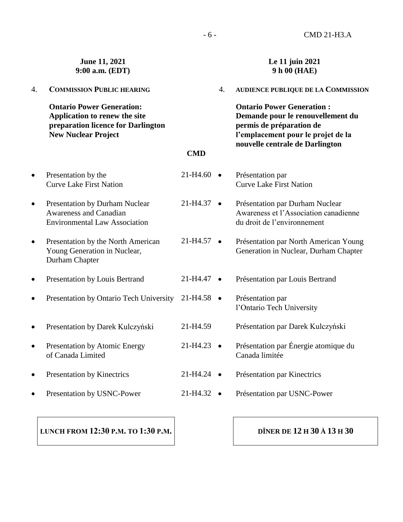|           | June 11, 2021<br>9:00 a.m. (EDT)                                                                                                      |                        |           | Le 11 juin 2021<br>9 h 00 (HAE)                                                                                                                                            |
|-----------|---------------------------------------------------------------------------------------------------------------------------------------|------------------------|-----------|----------------------------------------------------------------------------------------------------------------------------------------------------------------------------|
| 4.        | <b>COMMISSION PUBLIC HEARING</b>                                                                                                      |                        | 4.        | <b>AUDIENCE PUBLIQUE DE LA COMMISSION</b>                                                                                                                                  |
|           | <b>Ontario Power Generation:</b><br>Application to renew the site<br>preparation licence for Darlington<br><b>New Nuclear Project</b> |                        |           | <b>Ontario Power Generation:</b><br>Demande pour le renouvellement du<br>permis de préparation de<br>l'emplacement pour le projet de la<br>nouvelle centrale de Darlington |
|           |                                                                                                                                       | <b>CMD</b>             |           |                                                                                                                                                                            |
| $\bullet$ | Presentation by the<br><b>Curve Lake First Nation</b>                                                                                 | 21-H4.60               | $\bullet$ | Présentation par<br><b>Curve Lake First Nation</b>                                                                                                                         |
| $\bullet$ | <b>Presentation by Durham Nuclear</b><br><b>Awareness and Canadian</b><br><b>Environmental Law Association</b>                        | 21-H4.37               | $\bullet$ | Présentation par Durham Nuclear<br>Awareness et l'Association canadienne<br>du droit de l'environnement                                                                    |
| $\bullet$ | Presentation by the North American<br>Young Generation in Nuclear,<br>Durham Chapter                                                  | 21-H4.57               | $\bullet$ | Présentation par North American Young<br>Generation in Nuclear, Durham Chapter                                                                                             |
| $\bullet$ | Presentation by Louis Bertrand                                                                                                        | 21-H4.47               | $\bullet$ | Présentation par Louis Bertrand                                                                                                                                            |
| $\bullet$ | Presentation by Ontario Tech University                                                                                               | 21-H4.58               | $\bullet$ | Présentation par<br>l'Ontario Tech University                                                                                                                              |
| $\bullet$ | Presentation by Darek Kulczyński                                                                                                      | 21-H4.59               |           | Présentation par Darek Kulczyński                                                                                                                                          |
| $\bullet$ | Presentation by Atomic Energy<br>of Canada Limited                                                                                    | 21-H4.23               |           | Présentation par Énergie atomique du<br>Canada limitée                                                                                                                     |
| $\bullet$ | Presentation by Kinectrics                                                                                                            | $21 - H4.24$ $\bullet$ |           | Présentation par Kinectrics                                                                                                                                                |
| 0         | Presentation by USNC-Power                                                                                                            | $21-H4.32$ $\bullet$   |           | Présentation par USNC-Power                                                                                                                                                |
|           |                                                                                                                                       |                        |           |                                                                                                                                                                            |

**LUNCH FROM 12:30 P.M. TO 1:30 P.M.**

# **DÎNER DE 12 H 30 À 13 H 30**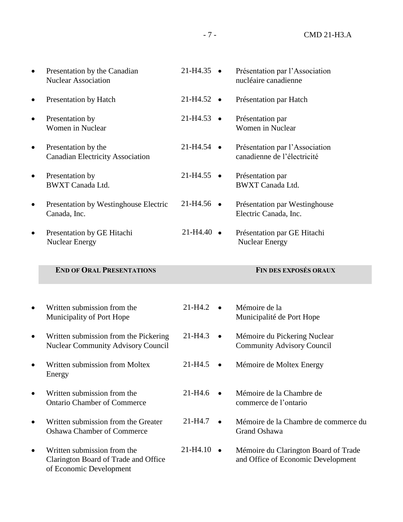| Presentation by the Canadian<br><b>Nuclear Association</b>                                     | 21-H4.35                 | Présentation par l'Association<br>nucléaire canadienne                     |
|------------------------------------------------------------------------------------------------|--------------------------|----------------------------------------------------------------------------|
| Presentation by Hatch                                                                          | $21-H4.52$ •             | Présentation par Hatch                                                     |
| Presentation by<br>Women in Nuclear                                                            | $21-H4.53$ $\bullet$     | Présentation par<br>Women in Nuclear                                       |
| Presentation by the<br><b>Canadian Electricity Association</b>                                 | $21-H4.54$ $\bullet$     | Présentation par l'Association<br>canadienne de l'électricité              |
| Presentation by<br><b>BWXT</b> Canada Ltd.                                                     | $21-H4.55$ •             | Présentation par<br><b>BWXT</b> Canada Ltd.                                |
| Presentation by Westinghouse Electric<br>Canada, Inc.                                          | $21-H4.56$ $\bullet$     | Présentation par Westinghouse<br>Electric Canada, Inc.                     |
| Presentation by GE Hitachi<br>Nuclear Energy                                                   | $21-H4.40$ $\bullet$     | Présentation par GE Hitachi<br><b>Nuclear Energy</b>                       |
| <b>END OF ORAL PRESENTATIONS</b>                                                               |                          | <b>FIN DES EXPOSÉS ORAUX</b>                                               |
|                                                                                                |                          |                                                                            |
| Written submission from the<br>Municipality of Port Hope                                       | $21 - H4.2$              | Mémoire de la<br>Municipalité de Port Hope                                 |
| Written submission from the Pickering<br><b>Nuclear Community Advisory Council</b>             | 21-H4.3<br>$\bullet$     | Mémoire du Pickering Nuclear<br><b>Community Advisory Council</b>          |
| Written submission from Moltex<br>Energy                                                       | 21-H4.5                  | Mémoire de Moltex Energy                                                   |
| Written submission from the<br><b>Ontario Chamber of Commerce</b>                              | $21 - H4.6$<br>$\bullet$ | Mémoire de la Chambre de<br>commerce de l'ontario                          |
| Written submission from the Greater<br><b>Oshawa Chamber of Commerce</b>                       | $21 - H4.7$<br>$\bullet$ | Mémoire de la Chambre de commerce du<br>Grand Oshawa                       |
| Written submission from the<br>Clarington Board of Trade and Office<br>of Economic Development | $21-H4.10$ $\bullet$     | Mémoire du Clarington Board of Trade<br>and Office of Economic Development |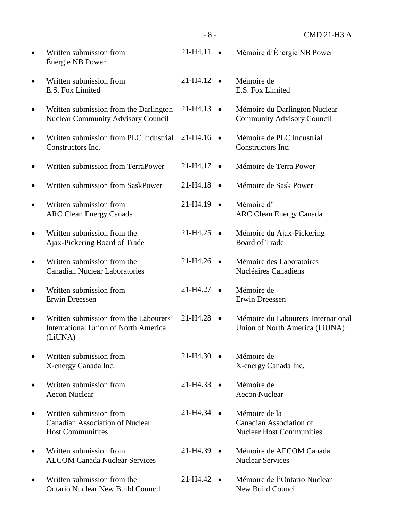|           | Written submission from<br>Énergie NB Power                                                      | 21-H4.11               |           | Mémoire d'Énergie NB Power                                                         |
|-----------|--------------------------------------------------------------------------------------------------|------------------------|-----------|------------------------------------------------------------------------------------|
|           | Written submission from<br>E.S. Fox Limited                                                      | 21-H4.12               | $\bullet$ | Mémoire de<br>E.S. Fox Limited                                                     |
| $\bullet$ | Written submission from the Darlington<br><b>Nuclear Community Advisory Council</b>              | 21-H4.13               | $\bullet$ | Mémoire du Darlington Nuclear<br><b>Community Advisory Council</b>                 |
|           | Written submission from PLC Industrial<br>Constructors Inc.                                      | 21-H4.16               |           | Mémoire de PLC Industrial<br>Constructors Inc.                                     |
|           | Written submission from TerraPower                                                               | 21-H4.17               | $\bullet$ | Mémoire de Terra Power                                                             |
|           | Written submission from SaskPower                                                                | 21-H4.18               | $\bullet$ | Mémoire de Sask Power                                                              |
|           | Written submission from<br><b>ARC Clean Energy Canada</b>                                        | $21-H4.19$ $\bullet$   |           | Mémoire d'<br><b>ARC Clean Energy Canada</b>                                       |
|           | Written submission from the<br>Ajax-Pickering Board of Trade                                     | 21-H4.25               |           | Mémoire du Ajax-Pickering<br><b>Board of Trade</b>                                 |
|           | Written submission from the<br><b>Canadian Nuclear Laboratories</b>                              | $21 - H4.26$ $\bullet$ |           | Mémoire des Laboratoires<br><b>Nucléaires Canadiens</b>                            |
|           | Written submission from<br>Erwin Dreessen                                                        | 21-H4.27               |           | Mémoire de<br>Erwin Dreessen                                                       |
| $\bullet$ | Written submission from the Labourers'<br><b>International Union of North America</b><br>(LiUNA) | 21-H4.28               | $\bullet$ | Mémoire du Labourers' International<br>Union of North America (LiUNA)              |
|           | Written submission from<br>X-energy Canada Inc.                                                  | 21-H4.30               |           | Mémoire de<br>X-energy Canada Inc.                                                 |
|           | Written submission from<br><b>Aecon Nuclear</b>                                                  | 21-H4.33               |           | Mémoire de<br><b>Aecon Nuclear</b>                                                 |
|           | Written submission from<br><b>Canadian Association of Nuclear</b><br><b>Host Communitities</b>   | 21-H4.34               |           | Mémoire de la<br><b>Canadian Association of</b><br><b>Nuclear Host Communities</b> |
|           | Written submission from<br><b>AECOM Canada Nuclear Services</b>                                  | 21-H4.39               |           | Mémoire de AECOM Canada<br><b>Nuclear Services</b>                                 |
|           | Written submission from the<br><b>Ontario Nuclear New Build Council</b>                          | 21-H4.42               |           | Mémoire de l'Ontario Nuclear<br>New Build Council                                  |